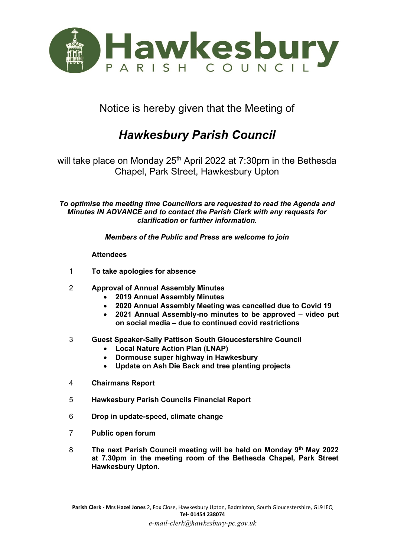

Notice is hereby given that the Meeting of

## *Hawkesbury Parish Council*

will take place on Monday 25<sup>th</sup> April 2022 at 7:30pm in the Bethesda Chapel, Park Street, Hawkesbury Upton

*To optimise the meeting time Councillors are requested to read the Agenda and Minutes IN ADVANCE and to contact the Parish Clerk with any requests for clarification or further information.*

*Members of the Public and Press are welcome to join* 

## **Attendees**

- 1 **To take apologies for absence**
- 2 **Approval of Annual Assembly Minutes** 
	- **2019 Annual Assembly Minutes**
	- **2020 Annual Assembly Meeting was cancelled due to Covid 19**
	- **2021 Annual Assembly-no minutes to be approved – video put on social media – due to continued covid restrictions**
- 3 **Guest Speaker-Sally Pattison South Gloucestershire Council** 
	- **Local Nature Action Plan (LNAP)**
	- **Dormouse super highway in Hawkesbury**
	- **Update on Ash Die Back and tree planting projects**
- 4 **Chairmans Report**
- 5 **Hawkesbury Parish Councils Financial Report**
- 6 **Drop in update-speed, climate change**
- 7 **Public open forum**
- 8 **The next Parish Council meeting will be held on Monday 9 th May 2022 at 7.30pm in the meeting room of the Bethesda Chapel, Park Street Hawkesbury Upton.**